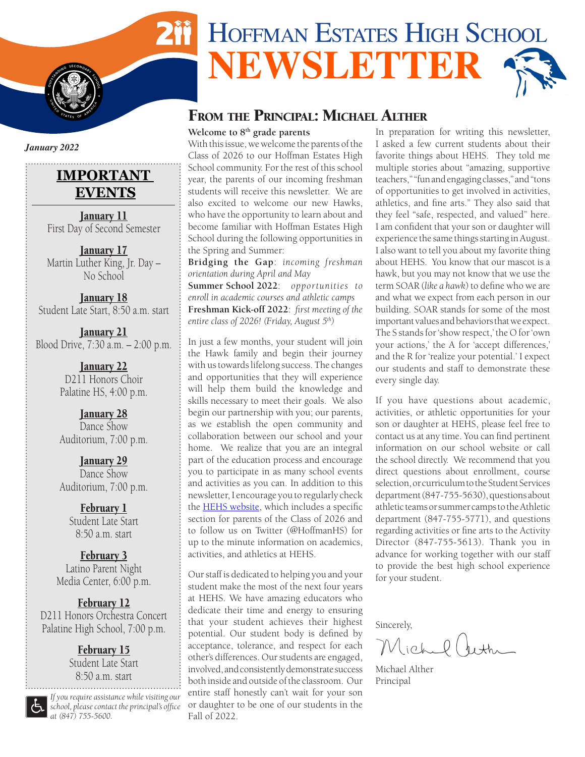# HOFFMAN ESTATES HIGH SCHOOL **NEWSLETTER**

# From the Principal: Michael Alther

#### **Welcome to 8th grade parents**

With this issue, we welcome the parents of the Class of 2026 to our Hoffman Estates High School community. For the rest of this school year, the parents of our incoming freshman students will receive this newsletter. We are also excited to welcome our new Hawks, who have the opportunity to learn about and become familiar with Hoffman Estates High School during the following opportunities in the Spring and Summer:

**Bridging the Gap**: *incoming freshman orientation during April and May*

**Summer School 2022**: *opportunities to enroll in academic courses and athletic camps* **Freshman Kick-off 2022**: *first meeting of the entire class of 2026! (Friday, August 5th)*

In just a few months, your student will join the Hawk family and begin their journey with us towards lifelong success. The changes and opportunities that they will experience will help them build the knowledge and skills necessary to meet their goals. We also begin our partnership with you; our parents, as we establish the open community and collaboration between our school and your home. We realize that you are an integral part of the education process and encourage you to participate in as many school events and activities as you can. In addition to this newsletter, I encourage you to regularly check the [HEHS website,](https://adc.d211.org/Domain/12) which includes a specific section for parents of the Class of 2026 and to follow us on Twitter (@HoffmanHS) for up to the minute information on academics, activities, and athletics at HEHS.

Our staff is dedicated to helping you and your student make the most of the next four years at HEHS. We have amazing educators who dedicate their time and energy to ensuring that your student achieves their highest potential. Our student body is defined by acceptance, tolerance, and respect for each other's differences. Our students are engaged, involved, and consistently demonstrate success both inside and outside of the classroom. Our entire staff honestly can't wait for your son or daughter to be one of our students in the Fall of 2022.

In preparation for writing this newsletter, I asked a few current students about their favorite things about HEHS. They told me multiple stories about "amazing, supportive teachers," "fun and engaging classes," and "tons of opportunities to get involved in activities, athletics, and fine arts." They also said that they feel "safe, respected, and valued" here. I am confident that your son or daughter will experience the same things starting in August. I also want to tell you about my favorite thing about HEHS. You know that our mascot is a hawk, but you may not know that we use the term SOAR (*like a hawk*) to define who we are and what we expect from each person in our building. SOAR stands for some of the most important values and behaviors that we expect. The S stands for 'show respect,' the O for 'own your actions,' the A for 'accept differences,' and the R for 'realize your potential.' I expect our students and staff to demonstrate these every single day.

If you have questions about academic, activities, or athletic opportunities for your son or daughter at HEHS, please feel free to contact us at any time. You can find pertinent information on our school website or call the school directly. We recommend that you direct questions about enrollment, course selection, or curriculum to the Student Services department (847-755-5630), questions about athletic teams or summer camps to the Athletic department (847-755-5771), and questions regarding activities or fine arts to the Activity Director (847-755-5613). Thank you in advance for working together with our staff to provide the best high school experience for your student.

Sincerely,

ichel beth

Michael Alther Principal

*January 2022*

**I**  $\frac{1}{2}$ 

**S** 

**S TATES** OF AMERICAL



January 11 First Day of Second Semester

January 17 Martin Luther King, Jr. Day – No School

January 18 Student Late Start, 8:50 a.m. start

January 21 Blood Drive, 7:30 a.m. – 2:00 p.m.

> January 22 D<sub>211</sub> Honors Choir Palatine HS, 4:00 p.m.

January 28 Dance Show Auditorium, 7:00 p.m.

January 29 Dance Show Auditorium, 7:00 p.m.

> February 1 Student Late Start 8:50 a.m. start

February 3 Latino Parent Night Media Center, 6:00 p.m.

February 12 D211 Honors Orchestra Concert Palatine High School, 7:00 p.m.

> February 15 Student Late Start 8:50 a.m. start

*If you require assistance while visiting our school, please contact the principal's office at (847) 755-5600.*

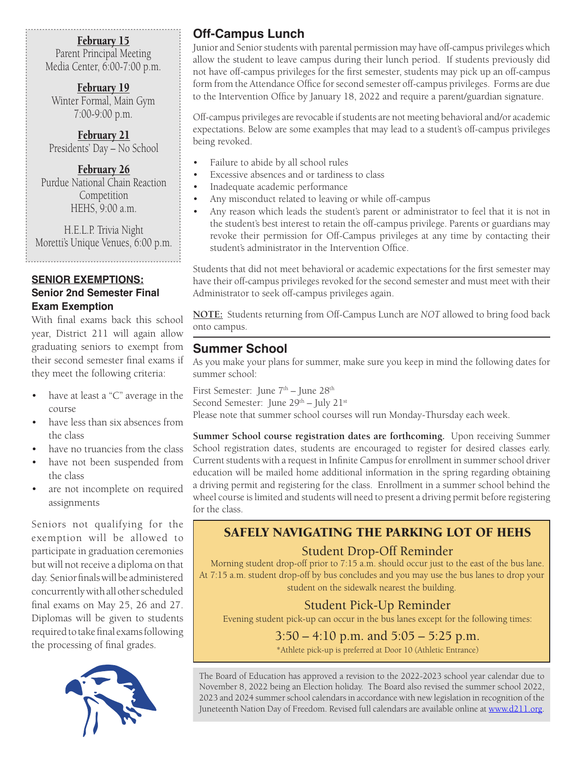#### February 15

Parent Principal Meeting Media Center, 6:00-7:00 p.m.

February 19 Winter Formal, Main Gym 7:00-9:00 p.m.

February 21 Presidents' Day – No School

February 26 Purdue National Chain Reaction Competition HEHS, 9:00 a.m.

H.E.L.P. Trivia Night Moretti's Unique Venues, 6:00 p.m.

#### **SENIOR EXEMPTIONS: Senior 2nd Semester Final Exam Exemption**

With final exams back this school year, District 211 will again allow graduating seniors to exempt from their second semester final exams if they meet the following criteria:

- have at least a "C" average in the course
- have less than six absences from the class
- have no truancies from the class
- have not been suspended from the class
- are not incomplete on required assignments

Seniors not qualifying for the exemption will be allowed to participate in graduation ceremonies but will not receive a diploma on that day. Senior finals will be administered concurrently with all other scheduled final exams on May 25, 26 and 27. Diplomas will be given to students required to take final exams following the processing of final grades.



# **Off-Campus Lunch**

Junior and Senior students with parental permission may have off-campus privileges which allow the student to leave campus during their lunch period. If students previously did not have off-campus privileges for the first semester, students may pick up an off-campus form from the Attendance Office for second semester off-campus privileges. Forms are due to the Intervention Office by January 18, 2022 and require a parent/guardian signature.

Off-campus privileges are revocable if students are not meeting behavioral and/or academic expectations. Below are some examples that may lead to a student's off-campus privileges being revoked.

- Failure to abide by all school rules
- Excessive absences and or tardiness to class
- Inadequate academic performance
- Any misconduct related to leaving or while off-campus
- Any reason which leads the student's parent or administrator to feel that it is not in the student's best interest to retain the off-campus privilege. Parents or guardians may revoke their permission for Off-Campus privileges at any time by contacting their student's administrator in the Intervention Office.

Students that did not meet behavioral or academic expectations for the first semester may have their off-campus privileges revoked for the second semester and must meet with their Administrator to seek off-campus privileges again.

**NOTE:** Students returning from Off-Campus Lunch are *NOT* allowed to bring food back onto campus.

## **Summer School**

As you make your plans for summer, make sure you keep in mind the following dates for summer school:

First Semester: June  $7<sup>th</sup>$  – June  $28<sup>th</sup>$ 

Second Semester: June 29<sup>th</sup> – July 21<sup>st</sup>

Please note that summer school courses will run Monday-Thursday each week.

**Summer School course registration dates are forthcoming.** Upon receiving Summer School registration dates, students are encouraged to register for desired classes early. Current students with a request in Infinite Campus for enrollment in summer school driver education will be mailed home additional information in the spring regarding obtaining a driving permit and registering for the class. Enrollment in a summer school behind the wheel course is limited and students will need to present a driving permit before registering for the class.

# SAFELY NAVIGATING THE PARKING LOT OF HEHS

### Student Drop-Off Reminder

Morning student drop-off prior to 7:15 a.m. should occur just to the east of the bus lane. At 7:15 a.m. student drop-off by bus concludes and you may use the bus lanes to drop your student on the sidewalk nearest the building.

## Student Pick-Up Reminder

Evening student pick-up can occur in the bus lanes except for the following times:

# $3:50 - 4:10$  p.m. and  $5:05 - 5:25$  p.m.

\*Athlete pick-up is preferred at Door 10 (Athletic Entrance)

The Board of Education has approved a revision to the 2022-2023 school year calendar due to November 8, 2022 being an Election holiday. The Board also revised the summer school 2022, 2023 and 2024 summer school calendars in accordance with new legislation in recognition of the Juneteenth Nation Day of Freedom. Revised full calendars are available online at [www.d211.org.](http://www.d211.org)